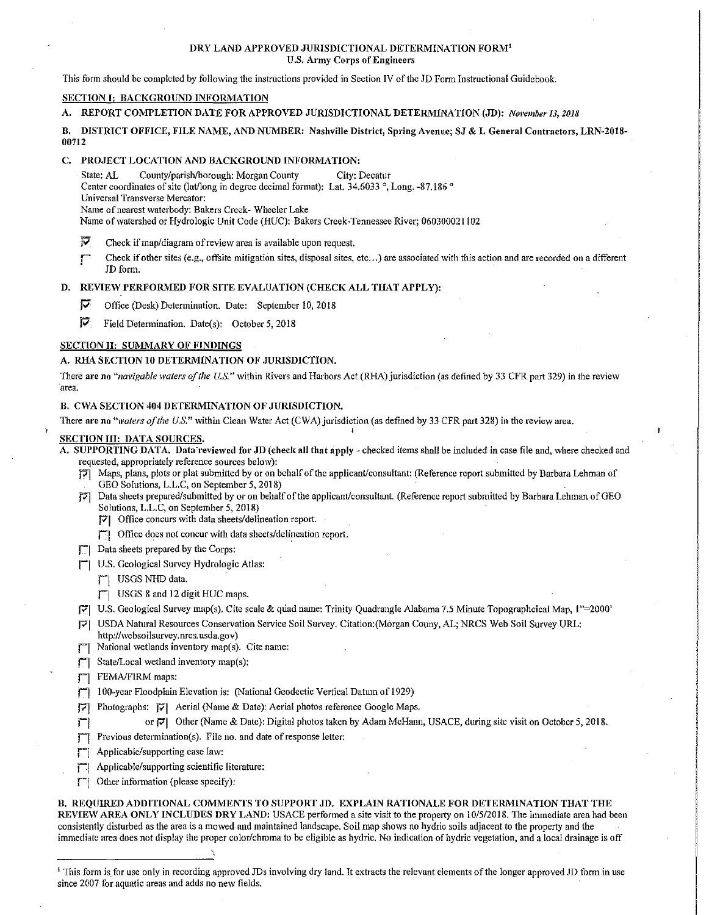#### DRY LAND APPROVED JURISDICTIONAL DETERMINATION FORM1 **U.S. Army Corps of Engineers**

This form should be completed by following the instructions provided in Section IV of the JD Form Instructional Guidebook.

# SECTION I: BACKGROUND INFORMATION

## A. REPORT COMPLETION DATE FOR APPROVED JURISDICTIONAL DETERMINATION (JD): *November 13, 2018*

B. DISTRICT OFFICE, FILE NAME, AND NUMBER: Nashville District, Spring Avenue; SJ & L General Contractors, LRN-2018-00712

## C. PROJECT LOCATION AND BACKGROUND INFORMATION:

State: AL County/parish/borough: Morgan County City: Decatur

- Center coordinates of site (lat/long in degree decimal fonnat): Lat. 34.6033 °, Long. -87.186 °
- Universal Transverse Mercator:

Name of nearest waterbody: Bakers Creek- Wheeler Lake

Name of watershed or Hydrologic Unit Code (HUC): Bakers Creek-Tennessee River; 060300021102

- $\overline{V}$  Check if map/diagram of review area is available upon request.
- Check if other sites (e.g., offsite mitigation sites, disposal sites, etc...) are associated with this action and are recorded on a different JD fonn.

## D. REVIEW PERFORMED FOR SITE EVALUATION (CHECK ALL THAT APPLY):

- IV Office (Desk) Determination. Date: September 10, 2018
- $\overline{V}$  Field Determination. Date(s): October 5, 2018

# SECTION II: SUMMARY OF FINDINGS

#### A. RHA SECTION 10 DETERMINATION OF JURISDICTION.

There are no "navigable waters of the U.S." within Rivers and Harbors Act (RHA) jurisdiction (as defined by 33 CFR part 329) in the review area.

# B. CWA SECTION 404 DETERMINATION OF JURISDICTION.

There are no "waters of the U.S." within Clean Water Act (CWA) jurisdiction (as defined by 33 CFR part 328) in the review area,

#### SECTION III: DATA SOURCES.

A. SUPPORTING DATA. Data reviewed for JD (check all that apply - checked items shall be included in case file and, where checked and requested, appropriately reference sources belo\v):

I

- P"I Maps, plans, plots or plat submitted by or on behalf of the applicant/consultant: (Reference report submitted by Barbara Lehman of GEO Solutions, L.L.C, on September 5, 2018)
- P'I Data sheets prepared/submitted by or on behalf of the applicant/consultant. (Ileference report submitted by Barbara Lehman of GEO Solutions, L.L.C, on September 5, 2018)
	- Pl Office concurs \vith data sheets/delineation report.
	- $\mathbb{T}$  Office does not concur with data sheets/delineation report.
- T<sup>-1</sup> Data sheets prepared by the Corps:
- U.S. Geological Survey Hydrologic Atlas:
	- **T** USGS NHD data.
	- rJ USGS 8 and 12 digitHUCmaps.
- RI U.S. Geological Survey map(s). Cite scale & qriad name: Trinity Quadrangle Alabama 7.5 Minute Topographcical Map, 1"=2000'
- P'| USDA Natural Resources Conservation Service Soil Survey. Citation:(Morgan Couny, AL; NRCS Web Soil Survey URL:
- http://websoilsurvey.nrcs.usda.gov)
- $\mathbb{T}$  National wetlands inventory map(s). Cite name:
- $\Box$  State/Local wetland inventory map(s):
- $\Box$  FEMA/FIRM maps:
- [7] 100-year Floodplain Elevation is: (National Geodectic Vertical Datum of 1929)
- J7] Photographs: Pl Aerial (Name & Date): Aerial photos reference Google Maps.
- r! or Pl Other (Name & Date): Digital photos taken by AdamMcHann, USACE, during site visit on October 5, 2018.
- $\mathbb{T}$  Previous determination(s). File no. and date of response letter:

\

- **F** Applicable/supporting case law:
- | Applicable/supporting scientific literature:
- $\Box$  Other information (please specify):

B. REQUIRED ADDITIONAL COMMENTS TO SUPPORT JD. EXPLAIN RATIONALE FOR DETERMINATION THAT THE REVIEW AREA ONLY INCLUDES DRY LAND: USACE performed a site visit to the property on 10/5/2018. The immediate area had been consistently disturbed as the area is a mowed and maintained landscape. Soil map shows no hydric soils adjacent to the property and the immediate area does not display the proper color/chroma to be eligible as hydric. No indication of hydric vegetation, and a local drainage is off

<sup>1</sup> This form is for use only in recording approved JDs involving dry land. It extracts the relevant elements of the longer approved JD form in use since 2007 for aquatic areas and adds no new fields.